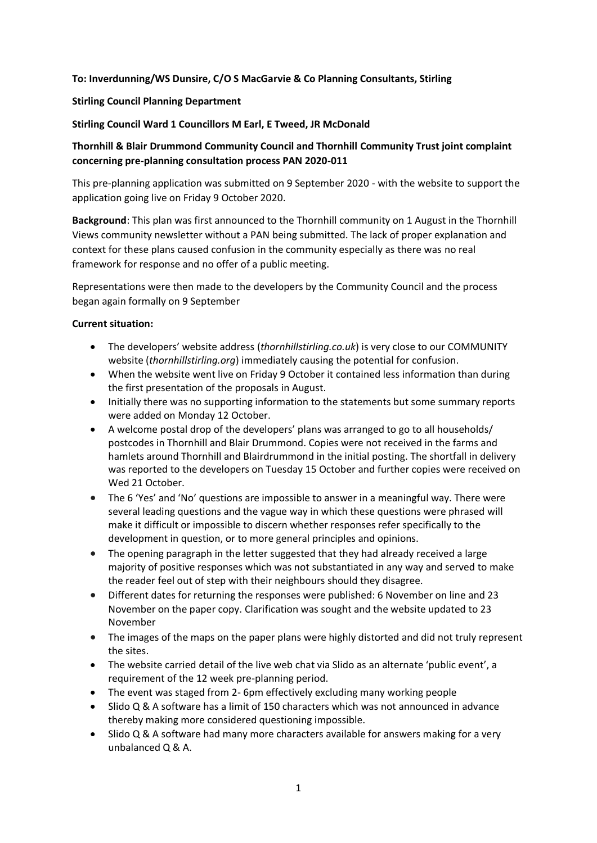### **To: Inverdunning/WS Dunsire, C/O S MacGarvie & Co Planning Consultants, Stirling**

### **Stirling Council Planning Department**

### **Stirling Council Ward 1 Councillors M Earl, E Tweed, JR McDonald**

# **Thornhill & Blair Drummond Community Council and Thornhill Community Trust joint complaint concerning pre-planning consultation process PAN 2020-011**

This pre-planning application was submitted on 9 September 2020 - with the website to support the application going live on Friday 9 October 2020.

**Background**: This plan was first announced to the Thornhill community on 1 August in the Thornhill Views community newsletter without a PAN being submitted. The lack of proper explanation and context for these plans caused confusion in the community especially as there was no real framework for response and no offer of a public meeting.

Representations were then made to the developers by the Community Council and the process began again formally on 9 September

#### **Current situation:**

- The developers' website address (*thornhillstirling.co.uk*) is very close to our COMMUNITY website (*thornhillstirling.org*) immediately causing the potential for confusion.
- When the website went live on Friday 9 October it contained less information than during the first presentation of the proposals in August.
- Initially there was no supporting information to the statements but some summary reports were added on Monday 12 October.
- A welcome postal drop of the developers' plans was arranged to go to all households/ postcodes in Thornhill and Blair Drummond. Copies were not received in the farms and hamlets around Thornhill and Blairdrummond in the initial posting. The shortfall in delivery was reported to the developers on Tuesday 15 October and further copies were received on Wed 21 October.
- The 6 'Yes' and 'No' questions are impossible to answer in a meaningful way. There were several leading questions and the vague way in which these questions were phrased will make it difficult or impossible to discern whether responses refer specifically to the development in question, or to more general principles and opinions.
- The opening paragraph in the letter suggested that they had already received a large majority of positive responses which was not substantiated in any way and served to make the reader feel out of step with their neighbours should they disagree.
- Different dates for returning the responses were published: 6 November on line and 23 November on the paper copy. Clarification was sought and the website updated to 23 November
- The images of the maps on the paper plans were highly distorted and did not truly represent the sites.
- The website carried detail of the live web chat via Slido as an alternate 'public event', a requirement of the 12 week pre-planning period.
- The event was staged from 2- 6pm effectively excluding many working people
- Slido Q & A software has a limit of 150 characters which was not announced in advance thereby making more considered questioning impossible.
- Slido Q & A software had many more characters available for answers making for a very unbalanced Q & A.